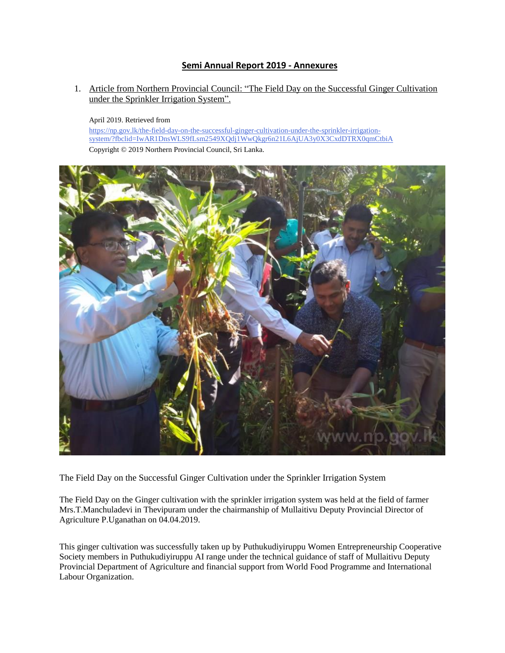## **Semi Annual Report 2019 - Annexures**

1. Article from Northern Provincial Council: "The Field Day on the Successful Ginger Cultivation under the Sprinkler Irrigation System".

April 2019. Retrieved from

[https://np.gov.lk/the-field-day-on-the-successful-ginger-cultivation-under-the-sprinkler-irrigation](https://np.gov.lk/the-field-day-on-the-successful-ginger-cultivation-under-the-sprinkler-irrigation-system/?fbclid=IwAR1DnsWLS9fLsm2549XQdj1WwQkgr6n21L6AjUA3y0X3CxdDTRX0qmCtbiA)[system/?fbclid=IwAR1DnsWLS9fLsm2549XQdj1WwQkgr6n21L6AjUA3y0X3CxdDTRX0qmCtbiA](https://np.gov.lk/the-field-day-on-the-successful-ginger-cultivation-under-the-sprinkler-irrigation-system/?fbclid=IwAR1DnsWLS9fLsm2549XQdj1WwQkgr6n21L6AjUA3y0X3CxdDTRX0qmCtbiA) Copyright © 2019 Northern Provincial Council, Sri Lanka.



The Field Day on the Successful Ginger Cultivation under the Sprinkler Irrigation System

The Field Day on the Ginger cultivation with the sprinkler irrigation system was held at the field of farmer Mrs.T.Manchuladevi in Thevipuram under the chairmanship of Mullaitivu Deputy Provincial Director of Agriculture P.Uganathan on 04.04.2019.

This ginger cultivation was successfully taken up by Puthukudiyiruppu Women Entrepreneurship Cooperative Society members in Puthukudiyiruppu AI range under the technical guidance of staff of Mullaitivu Deputy Provincial Department of Agriculture and financial support from World Food Programme and International Labour Organization.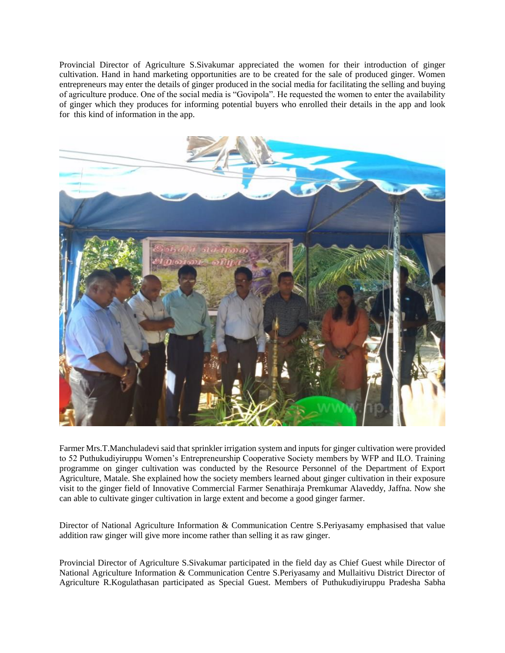Provincial Director of Agriculture S.Sivakumar appreciated the women for their introduction of ginger cultivation. Hand in hand marketing opportunities are to be created for the sale of produced ginger. Women entrepreneurs may enter the details of ginger produced in the social media for facilitating the selling and buying of agriculture produce. One of the social media is "Govipola". He requested the women to enter the availability of ginger which they produces for informing potential buyers who enrolled their details in the app and look for this kind of information in the app.



Farmer Mrs.T.Manchuladevi said that sprinkler irrigation system and inputs for ginger cultivation were provided to 52 Puthukudiyiruppu Women's Entrepreneurship Cooperative Society members by WFP and ILO. Training programme on ginger cultivation was conducted by the Resource Personnel of the Department of Export Agriculture, Matale. She explained how the society members learned about ginger cultivation in their exposure visit to the ginger field of Innovative Commercial Farmer Senathiraja Premkumar Alaveddy, Jaffna. Now she can able to cultivate ginger cultivation in large extent and become a good ginger farmer.

Director of National Agriculture Information & Communication Centre S.Periyasamy emphasised that value addition raw ginger will give more income rather than selling it as raw ginger.

Provincial Director of Agriculture S.Sivakumar participated in the field day as Chief Guest while Director of National Agriculture Information & Communication Centre S.Periyasamy and Mullaitivu District Director of Agriculture R.Kogulathasan participated as Special Guest. Members of Puthukudiyiruppu Pradesha Sabha